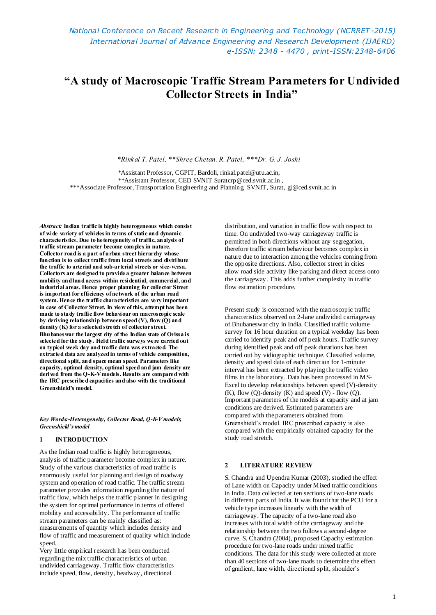# **"A study of Macroscopic Traffic Stream Parameters for Undivided Collector Streets in India"**

*\*Rinkal T. Patel, \*\*Shree Chetan. R. Patel, \*\*\*Dr. G. J. Joshi*

 \*Assistant Professor, CGPIT, Bardoli, rinkal.patel@utu.ac.in, \*\*Assistant Professor, CED SVNIT Suratcrp@ced.svnit.ac.in , \*\*\*Associate Professor, Transportation Engineering and Planning, SVNIT, Surat, gj@ced.svnit.ac.in

*Abstract:* **Indian traffic is highly heterogeneous which consist of wide variety of vehicles in terms of static and dynamic characteristics. Due to heterogeneity of traffic, analysis of traffic stream parameter become complex in nature. Collector road is a part of urban street hierarchy whose function is to collect traffic from local streets and distribute the traffic to arterial and sub-arterial streets or vice-versa. Collectors are designed to provide a greater balance between mobility and land access within residential, commercial, and industrial areas. Hence proper planning for collector Street is important for efficiency of network of the urban road system. Hence the traffic characteristics are very important in case of Collector Street. In view of this, attempt has been made to study traffic flow behaviour on macroscopic scale by deriving relationship between speed (V), flow (Q) and density (K) for a selected stretch of collector street. Bhubaneswar the largest city of the Indian state of Orissa is selected for the study. Field traffic surveys were carried out on typical week day and traffic data was extracted. The extracted data are analyzed in terms of vehicle composition, directional split, and space mean speed. Parameters like capacity, optimal density, optimal speed and jam density are derived from the Q-K-V models. Results are compared with the IRC prescribed capacities and also with the traditional Greenshield's model.**

#### *Key Words:-Heterogeneity, Collector Road, Q-K-V models, Greenshield's model*

## **1 INTRODUCTION**

As the Indian road traffic is highly heterogeneous, analysis of traffic parameter become complex in nature. Study of the various characteristics of road traffic is enormously useful for planning and design of roadway system and operation of road traffic. The traffic stream parameter provides information regarding the nature of traffic flow, which helps the traffic planner in designing the system for optimal performance in terms of offered mobility and accessibility. The performance of traffic stream parameters can be mainly classified as: measurements of quantity which includes density and flow of traffic and measurement of quality which include speed.

Very little empirical research has been conducted regarding the mix traffic characteristics of urban undivided carriageway. Traffic flow characteristics include speed, flow, density, headway, directional

distribution, and variation in traffic flow with respect to time. On undivided two-way carriageway traffic is permitted in both directions without any segregation, therefore traffic stream behaviour becomes complex in nature due to interaction among the vehicles coming from the opposite directions. Also, collector street in cities allow road side activity like parking and direct access onto the carriageway. This adds further complexity in traffic flow estimation procedure.

Present study is concerned with the macroscopic traffic characteristics observed on 2-lane undivided carriageway of Bhubaneswar city in India. Classified traffic volume survey for 16 hour duration on a typical weekday has been carried to identify peak and off peak hours. Traffic survey during identified peak and off peak durations has been carried out by vidiographic technique. Classified volume, density and speed data of each direction for 1-minute interval has been extracted by playing the traffic video films in the laboratory. Data has been processed in MS-Excel to develop relationships between speed (V)-density  $(K)$ , flow  $(Q)$ -density  $(K)$  and speed  $(V)$  - flow  $(Q)$ . Important parameters of the models at capacity and at jam conditions are derived. Estimated parameters are compared with the parameters obtained from Greenshield's model. IRC prescribed capacity is also compared with the empirically obtained capacity for the study road stretch.

# **2 LITERATURE REVIEW**

S. Chandra and Upendra Kumar (2003), studied the effect of Lane width on Capacity under Mixed traffic conditions in India. Data collected at ten sections of two-lane roads in different parts of India. It was found that the PCU for a vehicle type increases linearly with the width of carriageway. The capacity of a two-lane road also increases with total width of the carriageway and the relationship between the two follows a second-degree curve. S. Chandra (2004), proposed Capacity estimation procedure for two-lane roads under mixed traffic conditions. The data for this study were collected at more than 40 sections of two-lane roads to determine the effect of gradient, lane width, directional split, shoulder's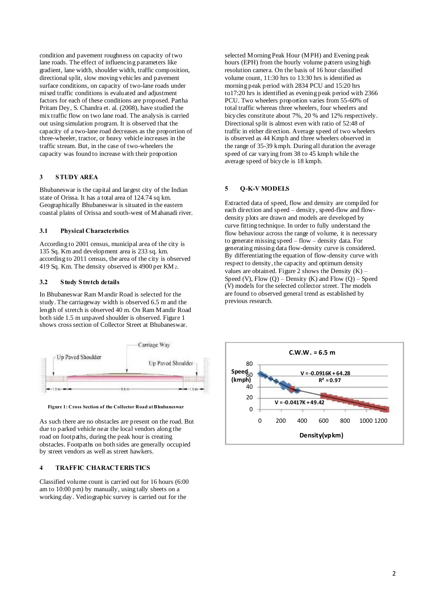condition and pavement roughness on capacity of two lane roads. The effect of influencing parameters like gradient, lane width, shoulder width, traffic composition, directional split, slow moving vehicles and pavement surface conditions, on capacity of two-lane roads under mixed traffic conditions is evaluated and adjustment factors for each of these conditions are proposed. Partha Pritam Dey, S. Chandra et. al. (2008), have studied the mix traffic flow on two lane road. The analysis is carried out using simulation program. It is observed that the capacity of a two-lane road decreases as the proportion of three-wheeler, tractor, or heavy vehicle increases in the traffic stream. But, in the case of two-wheelers the capacity was found to increase with their proportion

## **3 STUDY AREA**

Bhubaneswar is the capital and largest city of the Indian state of Orissa. It has a total area of 124.74 sq km. Geographically Bhubaneswar is situated in the eastern coastal plains of Orissa and south-west of Mahanadi river.

#### **3.1 Physical Characteristics**

According to 2001 census, municipal area of the city is 135 Sq. Km and development area is 233 sq. km. according to 2011 census, the area of the city is observed 419 Sq. Km. The density observed is 4900 per KM2.

#### **3.2 Study Stretch details**

In Bhubaneswar Ram Mandir Road is selected for the study. The carriageway width is observed 6.5 m and the length of stretch is observed 40 m. On Ram Mandir Road both side 1.5 m unpaved shoulder is observed. Figure 1 shows cross section of Collector Street at Bhubaneswar.



**Figure 1: Cross Section of the Collector Road at Bhubaneswar**

As such there are no obstacles are present on the road. But due to parked vehicle near the local vendors along the road on footpaths, during the peak hour is creating obstacles. Footpaths on both sides are generally occupied by street vendors as well as street hawkers.

#### **4 TRAFFIC CHARACTERISTICS**

Classified volume count is carried out for 16 hours (6:00 am to 10:00 pm) by manually, using tally sheets on a working day. Vediographic survey is carried out for the

selected Morning Peak Hour (MPH) and Evening peak hours (EPH) from the hourly volume pattern using high resolution camera. On the basis of 16 hour classified volume count, 11:30 hrs to 13:30 hrs is identified as morning peak period with 2834 PCU and 15:20 hrs to17:20 hrs is identified as evening peak period with 2366 PCU. Two wheelers proportion varies from 55-60% of total traffic whereas three wheelers, four wheelers and bicycles constitute about 7%, 20 % and 12% respectively. Directional split is almost even with ratio of 52:48 of traffic in either direction. Average speed of two wheelers is observed as 44 Kmph and three wheelers observed in the range of 35-39 kmph. During all duration the average speed of car varying from 38 to 45 kmph while the average speed of bicycle is 18 kmph.

#### **5 Q-K-V MODELS**

Extracted data of speed, flow and density are compiled for each direction and speed – density, speed-flow and flowdensity plots are drawn and models are developed by curve fitting technique. In order to fully understand the flow behaviour across the range of volume, it is necessary to generate missing speed – flow – density data. For generating missing data flow-density curve is considered. By differentiating the equation of flow-density curve with respect to density, the capacity and optimum density values are obtained. Figure 2 shows the Density  $(K)$  -Speed (V), Flow  $(Q)$  – Density (K) and Flow  $(Q)$  – Speed (V) models for the selected collector street. The models are found to observed general trend as established by previous research.